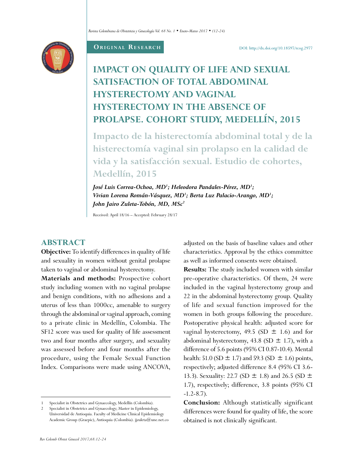

#### **ORIGINAL RESEARCH**

# **IMPACT ON QUALITY OF LIFE AND SEXUAL SATISFACTION OF TOTAL ABDOMINAL HYSTERECTOMY AND VAGINAL HYSTERECTOMY IN THE ABSENCE OF PROLAPSE. COHORT STUDY, MEDELLÍN, 2015**

**Impacto de la histerectomía abdominal total y de la histerectomía vaginal sin prolapso en la calidad de vida y la satisfacción sexual. Estudio de cohortes, Medellín, 2015**

*José Luis Correa-Ochoa, MD1 ; Heleodora Pandales-Pérez, MD1 ; Vivian Lorena Román-Vásquez, MD1 ; Berta Luz Palacio-Arango, MD1 ; John Jairo Zuleta-Tobón, MD, MSc2*

Received: April 18/16 – Accepted: February 28/17

# **ABSTRACT**

**Objective:** To identify differences in quality of life and sexuality in women without genital prolapse taken to vaginal or abdominal hysterectomy.

**Materials and methods:** Prospective cohort study including women with no vaginal prolapse and benign conditions, with no adhesions and a uterus of less than 1000cc, amenable to surgery through the abdominal or vaginal approach, coming to a private clinic in Medellín, Colombia. The SF12 score was used for quality of life assessment two and four months after surgery, and sexuality was assessed before and four months after the procedure, using the Female Sexual Function Index. Comparisons were made using ANCOVA,

adjusted on the basis of baseline values and other characteristics. Approval by the ethics committee as well as informed consents were obtained.

**Results:** The study included women with similar pre-operative characteristics. Of them, 24 were included in the vaginal hysterectomy group and 22 in the abdominal hysterectomy group. Quality of life and sexual function improved for the women in both groups following the procedure. Postoperative physical health: adjusted score for vaginal hysterectomy, 49.5 (SD  $\pm$  1.6) and for abdominal hysterectomy, 43.8 (SD  $\pm$  1.7), with a difference of 5.6 points (95% CI 0.87-10.4). Mental health: 51.0 (SD  $\pm$  1.7) and 59.3 (SD  $\pm$  1.6) points, respectively; adjusted difference 8.4 (95% CI 3.6- 13.3). Sexuality: 22.7 (SD  $\pm$  1.8) and 26.5 (SD  $\pm$ 1.7), respectively; difference, 3.8 points (95% CI  $-1.2-8.7$ ).

**Conclusion:** Although statistically significant differences were found for quality of life, the score obtained is not clinically significant.

Specialist in Obstetrics and Gynaecology, Medellín (Colombia).

<sup>2</sup> Specialist in Obstetrics and Gynaecology; Master in Epidemiology, Universidad de Antioquia. Faculty of Medicine Clinical Epidemiology Academic Group (Graepic), Antioquia (Colombia). [jjzuleta@une.net.co](mailto:jjzuleta@une.net.co)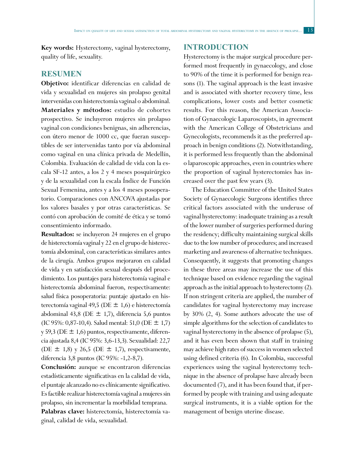**Key words:** Hysterectomy, vaginal hysterectomy, quality of life, sexuality.

### **RESUMEN**

**Objetivo:** identificar diferencias en calidad de vida y sexualidad en mujeres sin prolapso genital intervenidas con histerectomía vaginal o abdominal. **Materiales y métodos:** estudio de cohortes prospectivo. Se incluyeron mujeres sin prolapso vaginal con condiciones benignas, sin adherencias, con útero menor de 1000 cc, que fueran susceptibles de ser intervenidas tanto por vía abdominal como vaginal en una clínica privada de Medellín, Colombia. Evaluación de calidad de vida con la escala SF-12 antes, a los 2 y 4 meses posquirúrgico y de la sexualidad con la escala Índice de Función Sexual Femenina, antes y a los 4 meses posoperatorio. Comparaciones con ANCOVA ajustadas por los valores basales y por otras características. Se contó con aprobación de comité de ética y se tomó consentimiento informado.

**Resultados:** se incluyeron 24 mujeres en el grupo de histerectomía vaginal y 22 en el grupo de histerectomía abdominal, con características similares antes de la cirugía. Ambos grupos mejoraron en calidad de vida y en satisfacción sexual después del procedimiento. Los puntajes para histerectomía vaginal e histerectomía abdominal fueron, respectivamente: salud física posoperatoria: puntaje ajustado en histerectomía vaginal 49,5 (DE  $\pm$  1,6) e histerectomía abdominal 43,8 (DE  $\pm$  1,7), diferencia 5,6 puntos (IC 95%: 0,87-10,4). Salud mental: 51,0 (DE  $\pm$  1,7) y 59,3 (DE  $\pm$  1,6) puntos, respectivamente, diferencia ajustada 8,4 (IC 95%: 3,6-13,3). Sexualidad: 22,7 (DE  $\pm$  1,8) y 26,5 (DE  $\pm$  1,7), respectivamente, diferencia 3,8 puntos (IC 95%: -1,2-8,7).

**Conclusión:** aunque se encontraron diferencias estadísticamente significativas en la calidad de vida, el puntaje alcanzado no es clínicamente significativo. Es factible realizar histerectomía vaginal a mujeres sin prolapso, sin incrementar la morbilidad temprana. **Palabras clave:** histerectomía, histerectomía vaginal, calidad de vida, sexualidad.

## **INTRODUCTION**

Hysterectomy is the major surgical procedure performed most frequently in gynaecology, and close to 90% of the time it is performed for benign reasons (1). The vaginal approach is the least invasive and is associated with shorter recovery time, less complications, lower costs and better cosmetic results. For this reason, the American Association of Gynaecologic Laparoscopists, in agreement with the American College of Obstetricians and Gynecologists, recommends it as the preferred approach in benign conditions (2). Notwithstanding, it is performed less frequently than the abdominal o laparoscopic approaches, even in countries where the proportion of vaginal hysterectomies has increased over the past few years (3).

The Education Committee of the United States Society of Gynaecologic Surgeons identifies three critical factors associated with the underuse of vaginal hysterectomy: inadequate training as a result of the lower number of surgeries performed during the residency; difficulty maintaining surgical skills due to the low number of procedures; and increased marketing and awareness of alternative techniques. Consequently, it suggests that promoting changes in these three areas may increase the use of this technique based on evidence regarding the vaginal approach as the initial approach to hysterectomy (2). If non stringent criteria are applied, the number of candidates for vaginal hysterectomy may increase by 30% (2, 4). Some authors advocate the use of simple algorithms for the selection of candidates to vaginal hysterectomy in the absence of prolapse (5), and it has even been shown that staff in training may achieve high rates of success in women selected using defined criteria (6). In Colombia, successful experiences using the vaginal hysterectomy technique in the absence of prolapse have already been documented (7), and it has been found that, if performed by people with training and using adequate surgical instruments, it is a viable option for the management of benign uterine disease.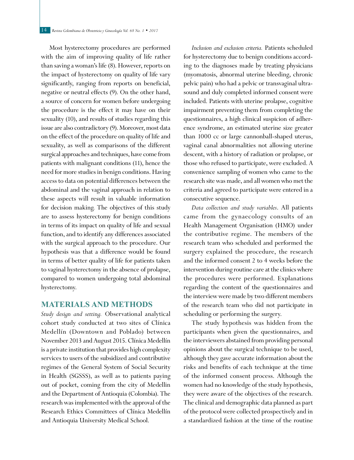Most hysterectomy procedures are performed with the aim of improving quality of life rather than saving a woman's life (8). However, reports on the impact of hysterectomy on quality of life vary significantly, ranging from reports on beneficial, negative or neutral effects (9). On the other hand, a source of concern for women before undergoing the procedure is the effect it may have on their sexuality (10), and results of studies regarding this issue are also contradictory (9). Moreover, most data on the effect of the procedure on quality of life and sexuality, as well as comparisons of the different surgical approaches and techniques, have come from patients with malignant conditions (11), hence the need for more studies in benign conditions. Having access to data on potential differences between the abdominal and the vaginal approach in relation to these aspects will result in valuable information for decision making. The objectives of this study are to assess hysterectomy for benign conditions in terms of its impact on quality of life and sexual function, and to identify any differences associated with the surgical approach to the procedure. Our hypothesis was that a difference would be found in terms of better quality of life for patients taken to vaginal hysterectomy in the absence of prolapse, compared to women undergoing total abdominal hysterectomy.

#### **MATERIALS AND METHODS**

*Study design and setting.* Observational analytical cohort study conducted at two sites of Clínica Medellín (Downtown and Poblado) between November 2013 and August 2015. Clínica Medellín is a private institution that provides high complexity services to users of the subsidized and contributive regimes of the General System of Social Security in Health (SGSSS), as well as to patients paying out of pocket, coming from the city of Medellin and the Department of Antioquia (Colombia). The research was implemented with the approval of the Research Ethics Committees of Clínica Medellín and Antioquia University Medical School.

*Inclusion and exclusion criteria.* Patients scheduled for hysterectomy due to benign conditions according to the diagnoses made by treating physicians (myomatosis, abnormal uterine bleeding, chronic pelvic pain) who had a pelvic or transvaginal ultrasound and duly completed informed consent were included. Patients with uterine prolapse, cognitive impairment preventing them from completing the questionnaires, a high clinical suspicion of adherence syndrome, an estimated uterine size greater than 1000 cc or large cannonball-shaped uterus, vaginal canal abnormalities not allowing uterine descent, with a history of radiation or prolapse, or those who refused to participate, were excluded. A convenience sampling of women who came to the research site was made, and all women who met the criteria and agreed to participate were entered in a consecutive sequence.

*Data collection and study variables*. All patients came from the gynaecology consults of an Health Management Organisation (HMO) under the contributive regime. The members of the research team who scheduled and performed the surgery explained the procedure, the research and the informed consent 2 to 4 weeks before the intervention during routine care at the clinics where the procedures were performed. Explanations regarding the content of the questionnaires and the interview were made by two different members of the research team who did not participate in scheduling or performing the surgery.

The study hypothesis was hidden from the participants when given the questionnaires, and the interviewers abstained from providing personal opinions about the surgical technique to be used, although they gave accurate information about the risks and benefits of each technique at the time of the informed consent process. Although the women had no knowledge of the study hypothesis, they were aware of the objectives of the research. The clinical and demographic data planned as part of the protocol were collected prospectively and in a standardized fashion at the time of the routine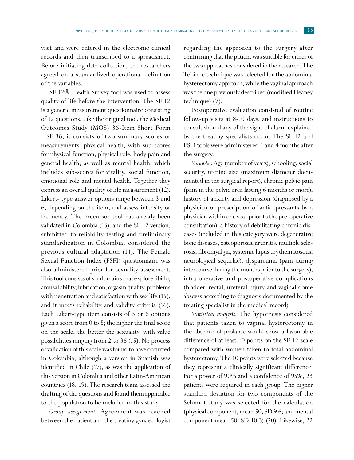visit and were entered in the electronic clinical records and then transcribed to a spreadsheet. Before initiating data collection, the researchers agreed on a standardized operational definition of the variables.

SF-12® Health Survey tool was used to assess quality of life before the intervention. The SF-12 is a generic measurement questionnaire consisting of 12 questions. Like the original tool, the Medical Outcomes Study (MOS) 36-Item Short Form - SF-36, it consists of two summary scores or measurements: physical health, with sub-scores for physical function, physical role, body pain and general health; as well as mental health, which includes sub-scores for vitality, social function, emotional role and mental health. Together they express an overall quality of life measurement (12). Likert- type answer options range between 3 and 6, depending on the item, and assess intensity or frequency. The precursor tool has already been validated in Colombia (13), and the SF-12 version, submitted to reliability testing and preliminary standardization in Colombia, considered the previous cultural adaptation (14). The Female Sexual Function Index (FSFI) questionnaire was also administered prior for sexuality assessment. This tool consists of six domains that explore libido, arousal ability, lubrication, orgasm quality, problems with penetration and satisfaction with sex life (15), and it meets reliability and validity criteria (16). Each Likert-type item consists of 5 or 6 options given a score from 0 to 5; the higher the final score on the scale, the better the sexuality, with value possibilities ranging from 2 to 36 (15). No process of validation of this scale was found to have occurred in Colombia, although a version in Spanish was identified in Chile (17), as was the application of this version in Colombia and other Latin-American countries (18, 19). The research team assessed the drafting of the questions and found them applicable to the population to be included in this study.

*Group assignment.* Agreement was reached between the patient and the treating gynaecologist regarding the approach to the surgery after confirming that the patient was suitable for either of the two approaches considered in the research. The TeLinde technique was selected for the abdominal hysterectomy approach, while the vaginal approach was the one previously described (modified Heaney technique) (7).

Postoperative evaluation consisted of routine follow-up visits at 8-10 days, and instructions to consult should any of the signs of alarm explained by the treating specialists occur. The SF-12 and FSFI tools were administered 2 and 4 months after the surgery.

*Variables*. Age (number of years), schooling, social security, uterine size (maximum diameter documented in the surgical report), chronic pelvic pain (pain in the pelvic area lasting 6 months or more), history of anxiety and depression (diagnosed by a physician or prescription of antidepressants by a physician within one year prior to the pre-operative consultation), a history of debilitating chronic diseases (included in this category were degenerative bone diseases, osteoporosis, arthritis, multiple sclerosis, fibromyalgia, systemic lupus erythematosous, neurological sequelae), dyspareunia (pain during intercourse during the months prior to the surgery), intra-operative and postoperative complications (bladder, rectal, ureteral injury and vaginal dome abscess according to diagnosis documented by the treating specialist in the medical record).

*Statistical analysis.* The hypothesis considered that patients taken to vaginal hysterectomy in the absence of prolapse would show a favourable difference of at least 10 points on the SF-12 scale compared with women taken to total abdominal hysterectomy. The 10 points were selected because they represent a clinically significant difference. For a power of 90% and a confidence of 95%, 23 patients were required in each group. The higher standard deviation for two components of the Schmidt study was selected for the calculation (physical component, mean 50, SD 9.6; and mental component mean 50, SD 10.3) (20). Likewise, 22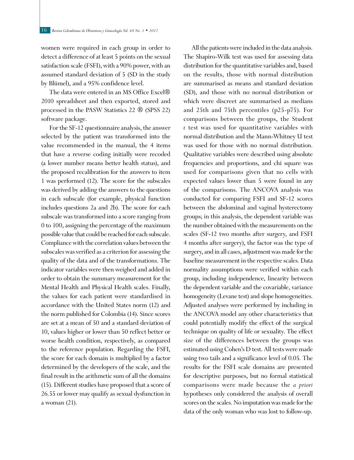women were required in each group in order to detect a difference of at least 5 points on the sexual satisfaction scale (FSFI), with a 90% power, with an assumed standard deviation of 5 (SD in the study by Blümel), and a 95% confidence level.

The data were entered in an MS Office Excel® 2010 spreadsheet and then exported, stored and processed in the PASW Statistics 22 ® (SPSS 22) software package.

For the SF-12 questionnaire analysis, the answer selected by the patient was transformed into the value recommended in the manual, the 4 items that have a reverse coding initially were recoded (a lower number means better health status), and the proposed recalibration for the answers to item 1 was performed (12). The score for the subscales was derived by adding the answers to the questions in each subscale (for example, physical function includes questions 2a and 2b). The score for each subscale was transformed into a score ranging from 0 to 100, assigning the percentage of the maximum possible value that could be reached for each subscale. Compliance with the correlation values between the subscales was verified as a criterion for assessing the quality of the data and of the transformations. The indicator variables were then weighed and added in order to obtain the summary measurement for the Mental Health and Physical Health scales. Finally, the values for each patient were standardised in accordance with the United States norm (12) and the norm published for Colombia (14). Since scores are set at a mean of 50 and a standard deviation of 10, values higher or lower than 50 reflect better or worse health condition, respectively, as compared to the reference population. Regarding the FSFI, the score for each domain is multiplied by a factor determined by the developers of the scale, and the final result in the arithmetic sum of all the domains (15). Different studies have proposed that a score of 26.55 or lower may qualify as sexual dysfunction in a woman (21).

All the patients were included in the data analysis. The Shapiro-Wilk test was used for assessing data distribution for the quantitative variables and, based on the results, those with normal distribution are summarised as means and standard deviation (SD), and those with no normal distribution or which were discreet are summarised as medians and 25th and 75th percentiles (p25-p75). For comparisons between the groups, the Student *t* test was used for quantitative variables with normal distribution and the Mann-Whitney U test was used for those with no normal distribution. Qualitative variables were described using absolute frequencies and proportions, and chi square was used for comparisons given that no cells with expected values lower than 5 were found in any of the comparisons. The ANCOVA analysis was conducted for comparing FSFI and SF-12 scores between the abdominal and vaginal hysterectomy groups; in this analysis, the dependent variable was the number obtained with the measurements on the scales (SF-12 two months after surgery, and FSFI 4 months after surgery), the factor was the type of surgery, and in all cases, adjustment was made for the baseline measurement in the respective scales. Data normality assumptions were verified within each group, including independence, linearity between the dependent variable and the covariable, variance homogeneity (Levane test) and slope homogeneities. Adjusted analyses were performed by including in the ANCOVA model any other characteristics that could potentially modify the effect of the surgical technique on quality of life or sexuality. The effect size of the differences between the groups was estimated using Cohen's D test. All tests were made using two tails and a significance level of 0.05. The results for the FSFI scale domains are presented for descriptive purposes, but no formal statistical comparisons were made because the *a priori* hypotheses only considered the analysis of overall scores on the scales. No imputation was made for the data of the only woman who was lost to follow-up.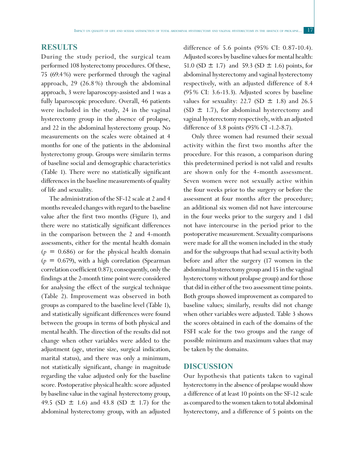#### **RESULTS**

During the study period, the surgical team performed 108 hysterectomy procedures. Of these, 75 (69.4%) were performed through the vaginal approach, 29 (26.8 %) through the abdominal approach, 3 were laparoscopy-assisted and 1 was a fully laparoscopic procedure. Overall, 46 patients were included in the study, 24 in the vaginal hysterectomy group in the absence of prolapse, and 22 in the abdominal hysterectomy group. No measurements on the scales were obtained at 4 months for one of the patients in the abdominal hysterectomy group. Groups were similarin terms of baseline social and demographic characteristics (Table 1). There were no statistically significant differences in the baseline measurements of quality of life and sexuality.

The administration of the SF-12 scale at 2 and 4 months revealed changes with regard to the baseline value after the first two months (Figure 1), and there were no statistically significant differences in the comparison between the 2 and 4-month assessments, either for the mental health domain  $(p = 0.686)$  or for the physical health domain  $(p = 0.679)$ , with a high correlation (Spearman correlation coefficient 0.87); consequently, only the findings at the 2-month time point were considered for analysing the effect of the surgical technique (Table 2). Improvement was observed in both groups as compared to the baseline level (Table 1), and statistically significant differences were found between the groups in terms of both physical and mental health. The direction of the results did not change when other variables were added to the adjustment (age, uterine size, surgical indication, marital status), and there was only a minimum, not statistically significant, change in magnitude regarding the value adjusted only for the baseline score. Postoperative physical health: score adjusted by baseline value in the vaginal hysterectomy group, 49.5 (SD  $\pm$  1.6) and 43.8 (SD  $\pm$  1.7) for the abdominal hysterectomy group, with an adjusted difference of 5.6 points (95% CI: 0.87-10.4). Adjusted scores by baseline values for mental health: 51.0 (SD  $\pm$  1.7) and 59.3 (SD  $\pm$  1.6) points, for abdominal hysterectomy and vaginal hysterectomy respectively, with an adjusted difference of 8.4 (95% CI: 3.6-13.3). Adjusted scores by baseline values for sexuality: 22.7 (SD  $\pm$  1.8) and 26.5 (SD  $\pm$  1.7), for abdominal hysterectomy and vaginal hysterectomy respectively, with an adjusted difference of 3.8 points (95% CI -1.2-8.7).

Only three women had resumed their sexual activity within the first two months after the procedure. For this reason, a comparison during this predetermined period is not valid and results are shown only for the 4-month assessment. Seven women were not sexually active within the four weeks prior to the surgery or before the assessment at four months after the procedure; an additional six women did not have intercourse in the four weeks prior to the surgery and 1 did not have intercourse in the period prior to the postoperative measurement. Sexuality comparisons were made for all the women included in the study and for the subgroups that had sexual activity both before and after the surgery (17 women in the abdominal hysterectomy group and 15 in the vaginal hysterectomy without prolapse group) and for those that did in either of the two assessment time points. Both groups showed improvement as compared to baseline values; similarly, results did not change when other variables were adjusted. Table 3 shows the scores obtained in each of the domains of the FSFI scale for the two groups and the range of possible minimum and maximum values that may be taken by the domains.

#### **DISCUSSION**

Our hypothesis that patients taken to vaginal hysterectomy in the absence of prolapse would show a difference of at least 10 points on the SF-12 scale as compared to the women taken to total abdominal hysterectomy, and a difference of 5 points on the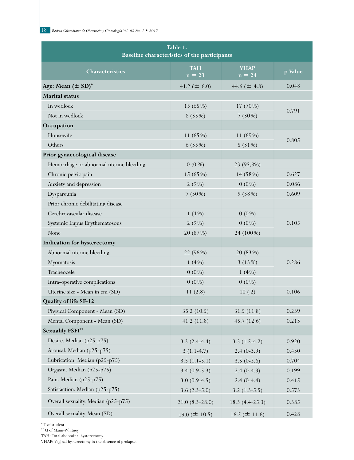| Table 1.<br>Baseline characteristics of the participants |                        |                         |                 |  |  |  |
|----------------------------------------------------------|------------------------|-------------------------|-----------------|--|--|--|
| Characteristics                                          | <b>TAH</b><br>$n = 23$ | <b>VHAP</b><br>$n = 24$ | p Value         |  |  |  |
| Age: Mean $(\pm SD)^*$                                   | 41.2 ( $\pm$ 6.0)      | 44.6 ( $\pm$ 4.8)       | 0.048           |  |  |  |
| <b>Marital</b> status                                    |                        |                         |                 |  |  |  |
| In wedlock                                               | 15 (65%)               | 17 (70%)                |                 |  |  |  |
| Not in wedlock                                           | 8(35%)                 | $7(30\%)$               | 0.791           |  |  |  |
| Occupation                                               |                        |                         |                 |  |  |  |
| Housewife                                                | 11 (65%)               | 11 (69%)                | 0.805<br>5(31%) |  |  |  |
| Others                                                   | 6 (35%)                |                         |                 |  |  |  |
| Prior gynaecological disease                             |                        |                         |                 |  |  |  |
| Hemorrhage or abnormal uterine bleeding                  | $0(0\%)$               | 23 (95,8%)              |                 |  |  |  |
| Chronic pelvic pain                                      | 15 (65%)               | 14 (58%)                | 0.627           |  |  |  |
| Anxiety and depression                                   | 2(9%)                  | $0(0\%)$                | 0.086           |  |  |  |
| Dyspareunia                                              | $7(30\%)$              | 9(38%)                  | 0.609           |  |  |  |
| Prior chronic debilitating disease                       |                        |                         |                 |  |  |  |
| Cerebrovascular disease                                  | 1 $(4%)$               | $0(0\%)$                |                 |  |  |  |
| Systemic Lupus Erythematosous                            | 2(9%)                  | $0(0\%)$                | 0.105           |  |  |  |
| None                                                     | 20 (87%)               | 24 (100%)               |                 |  |  |  |
| Indication for hysterectomy                              |                        |                         |                 |  |  |  |
| Abnormal uterine bleeding                                | 22 (96%)               | 20 (83%)                |                 |  |  |  |
| Myomatosis                                               | 1(4%)                  | 3(13%)                  | 0.286           |  |  |  |
| Tracheocele                                              | $0(0\%)$               | 1 $(4%)$                |                 |  |  |  |
| Intra-operative complications                            | $0(0\%)$               | $0(0\%)$                |                 |  |  |  |
| Uterine size - Mean in cm (SD)                           | 11(2.8)                | 10(2)                   | 0.106           |  |  |  |
| Quality of life SF-12                                    |                        |                         |                 |  |  |  |
| Physical Component - Mean (SD)                           | 35.2(10.5)             | 31.5(11.8)              | 0.239           |  |  |  |
| Mental Component - Mean (SD)                             | 41.2(11.8)             | 45.7 (12.6)             | 0.213           |  |  |  |
| <b>Sexualily FSFI**</b>                                  |                        |                         |                 |  |  |  |
| Desire. Median (p25-p75)                                 | $3.3(2.4-4.4)$         | $3.3(1.5-4.2)$          | 0.920           |  |  |  |
| Arousal. Median (p25-p75)                                | $3(1.1-4.7)$           | $2.4(0-3.9)$            | 0.430           |  |  |  |
| Lubrication. Median (p25-p75)                            | $3.5(1.1-5.1)$         | $3.5(0-5.6)$            | 0.704           |  |  |  |
| Orgasm. Median (p25-p75)                                 | $3.4(0.9-5.3)$         | $2.4(0-4.3)$            | 0.199           |  |  |  |
| Pain. Median (p25-p75)                                   | $3.0(0.9-4.5)$         | $2.4(0-4.4)$            | 0.415           |  |  |  |
| Satisfaction. Median (p25-p75)                           | $3.6(2.3-5.0)$         | $3.2(1.3-5.5)$          | 0.573           |  |  |  |
| Overall sexuality. Median (p25-p75)                      | $21.0(8.3-28.0)$       | $18.3(4.4-25.3)$        | 0.385           |  |  |  |
| Overall sexuality. Mean (SD)                             | 19.0 ( $\pm$ 10.5)     | 16.5 ( $\pm$ 11.6)      | 0.428           |  |  |  |

\* T of student

 $\hspace{0.1mm}^{\ast\ast}$  U of Mann-Whitney

TAH: Total abdominal hysterectomy.

VHAP: Vaginal hysterectomy in the absence of prolapse.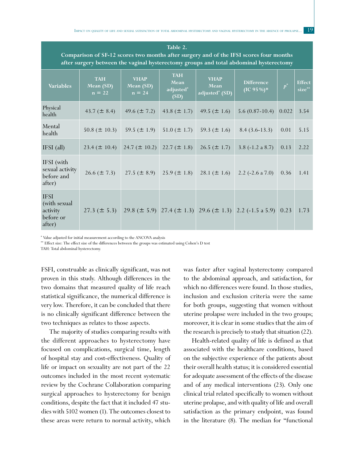**Table 2.** 

| Comparison of SF-12 scores two months after surgery and of the IFSI scores four months<br>after surgery between the vaginal hysterectomy groups and total abdominal hysterectomy |                                     |                                      |                                         |                                                   |                                                                        |       |                         |  |
|----------------------------------------------------------------------------------------------------------------------------------------------------------------------------------|-------------------------------------|--------------------------------------|-----------------------------------------|---------------------------------------------------|------------------------------------------------------------------------|-------|-------------------------|--|
| <b>Variables</b>                                                                                                                                                                 | <b>TAH</b><br>Mean (SD)<br>$n = 22$ | <b>VHAP</b><br>Mean (SD)<br>$n = 24$ | <b>TAH</b><br>Mean<br>adjusted*<br>(SD) | <b>VHAP</b><br>Mean<br>adjusted <sup>*</sup> (SD) | <b>Difference</b><br>$(IC 95\%)*$                                      | $P^*$ | <b>Effect</b><br>size** |  |
| Physical<br>health                                                                                                                                                               | 43.7 ( $\pm$ 8.4)                   | 49.6 ( $\pm$ 7.2)                    | 43.8 ( $\pm$ 1.7)                       | 49.5 ( $\pm$ 1.6)                                 | $5.6(0.87-10.4)$                                                       | 0.022 | 3.54                    |  |
| Mental<br>health                                                                                                                                                                 | 50.8 ( $\pm$ 10.3)                  | 59.5 ( $\pm$ 1.9)                    | $51.0 (\pm 1.7)$                        | 59.3 ( $\pm$ 1.6)                                 | $8.4(3.6-13.3)$                                                        | 0.01  | 5.15                    |  |
| $IFSI$ (all)                                                                                                                                                                     | $23.4 (\pm 10.4)$                   | 24.7 ( $\pm$ 10.2)                   | $22.7 (\pm 1.8)$                        | $26.5 (\pm 1.7)$                                  | 3.8 $(-1.2 \text{ a } 8.7)$                                            | 0.13  | 2.22                    |  |
| IFSI (with<br>sexual activity<br>before and<br>after)                                                                                                                            | $26.6 (\pm 7.3)$                    | $27.5 (\pm 8.9)$                     | $25.9 (\pm 1.8)$                        | 28.1 ( $\pm$ 1.6)                                 | 2.2 $(-2.6 a 7.0)$                                                     | 0.36  | 1.41                    |  |
| <b>IFSI</b><br>(with sexual<br>activity<br>before or<br>after)                                                                                                                   | $27.3 (\pm 5.3)$                    |                                      |                                         |                                                   | 29.8 ( $\pm$ 5.9) 27.4 ( $\pm$ 1.3) 29.6 ( $\pm$ 1.3) 2.2 (-1.5 a 5.9) | 0.23  | 1.73                    |  |

\* Value adjusted for initial measurement according to the ANCOVA analysis

\*\* Effect size: The effect size of the differences between the groups was estimated using Cohen's D test

TAH: Total abdominal hysterectomy.

FSFI, construable as clinically significant, was not proven in this study. Although differences in the two domains that measured quality of life reach statistical significance, the numerical difference is very low. Therefore, it can be concluded that there is no clinically significant difference between the two techniques as relates to those aspects.

The majority of studies comparing results with the different approaches to hysterectomy have focused on complications, surgical time, length of hospital stay and cost-effectiveness. Quality of life or impact on sexuality are not part of the 22 outcomes included in the most recent systematic review by the Cochrane Collaboration comparing surgical approaches to hysterectomy for benign conditions, despite the fact that it included 47 studies with 5102 women (1). The outcomes closest to these areas were return to normal activity, which was faster after vaginal hysterectomy compared to the abdominal approach, and satisfaction, for which no differences were found. In those studies, inclusion and exclusion criteria were the same for both groups, suggesting that women without uterine prolapse were included in the two groups; moreover, it is clear in some studies that the aim of the research is precisely to study that situation (22).

Health-related quality of life is defined as that associated with the healthcare conditions, based on the subjective experience of the patients about their overall health status; it is considered essential for adequate assessment of the effects of the disease and of any medical interventions (23). Only one clinical trial related specifically to women without uterine prolapse, and with quality of life and overall satisfaction as the primary endpoint, was found in the literature (8). The median for "functional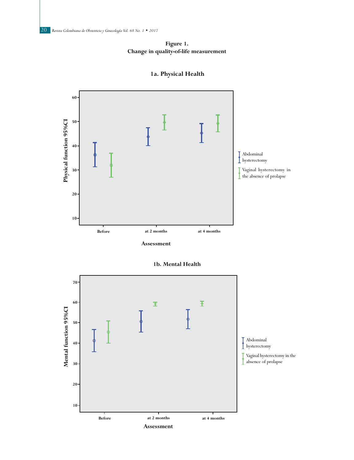



**1a. Physical Health**

**1b. Mental Health**

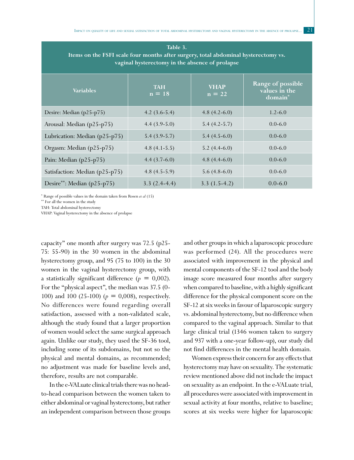| Table 3.<br>Items on the FSFI scale four months after surgery, total abdominal hysterectomy vs.<br>vaginal hysterectomy in the absence of prolapse |                        |                         |                                               |  |  |  |  |
|----------------------------------------------------------------------------------------------------------------------------------------------------|------------------------|-------------------------|-----------------------------------------------|--|--|--|--|
| <b>Variables</b>                                                                                                                                   | <b>TAH</b><br>$n = 18$ | <b>VHAP</b><br>$n = 22$ | Range of possible<br>values in the<br>domain* |  |  |  |  |
| Desire: Median (p25-p75)                                                                                                                           | $4.2(3.6-5.4)$         | 4.8 $(4.2-6.0)$         | $1.2 - 6.0$                                   |  |  |  |  |
| Arousal: Median (p25-p75)                                                                                                                          | $4.4(3.9-5.0)$         | $5.4(4.2-5.7)$          | $0.0 - 6.0$                                   |  |  |  |  |
| Lubrication: Median (p25-p75)                                                                                                                      | $5.4(3.9-5.7)$         | $5.4(4.5-6.0)$          | $0.0 - 6.0$                                   |  |  |  |  |
| Orgasm: Median (p25-p75)                                                                                                                           | 4.8 $(4.1 - 5.5)$      | $5.2(4.4-6.0)$          | $0.0 - 6.0$                                   |  |  |  |  |
| Pain: Median (p25-p75)                                                                                                                             | 4.4 $(3.7-6.0)$        | 4.8 $(4.4-6.0)$         | $0.0 - 6.0$                                   |  |  |  |  |
| Satisfaction: Median (p25-p75)                                                                                                                     | 4.8 $(4.5-5.9)$        | $5.6(4.8-6.0)$          | $0.0 - 6.0$                                   |  |  |  |  |
| Desire**: Median (p25-p75)                                                                                                                         | $3.3(2.4-4.4)$         | $3.3(1.5-4.2)$          | $0.0 - 6.0$                                   |  |  |  |  |

\* Range of possible values in the domain taken from Rosen *et al* (15)

\*\* For all the women in the study

TAH: Total abdominal hysterectomy

VHAP: Vaginal hysterectomy in the absence of prolapse

capacity" one month after surgery was 72.5 (p25- 75: 55-90) in the 30 women in the abdominal hysterectomy group, and 95 (75 to 100) in the 30 women in the vaginal hysterectomy group, with a statistically significant difference  $(p = 0,002)$ . For the "physical aspect", the median was 37.5 (0- 100) and 100 (25-100) (*p* = 0,008), respectively. No differences were found regarding overall satisfaction, assessed with a non-validated scale, although the study found that a larger proportion of women would select the same surgical approach again. Unlike our study, they used the SF-36 tool, including some of its subdomains, but not so the physical and mental domains, as recommended; no adjustment was made for baseline levels and, therefore, results are not comparable.

In the e-VALuate clinical trials there was no headto-head comparison between the women taken to either abdominal or vaginal hysterectomy, but rather an independent comparison between those groups and other groups in which a laparoscopic procedure was performed (24). All the procedures were associated with improvement in the physical and mental components of the SF-12 tool and the body image score measured four months after surgery when compared to baseline, with a highly significant difference for the physical component score on the SF-12 at six weeks in favour of laparoscopic surgery vs. abdominal hysterectomy, but no difference when compared to the vaginal approach. Similar to that large clinical trial (1346 women taken to surgery and 937 with a one-year follow-up), our study did not find differences in the mental health domain.

Women express their concern for any effects that hysterectomy may have on sexuality. The systematic review mentioned above did not include the impact on sexuality as an endpoint. In the e-VALuate trial, all procedures were associated with improvement in sexual activity at four months, relative to baseline; scores at six weeks were higher for laparoscopic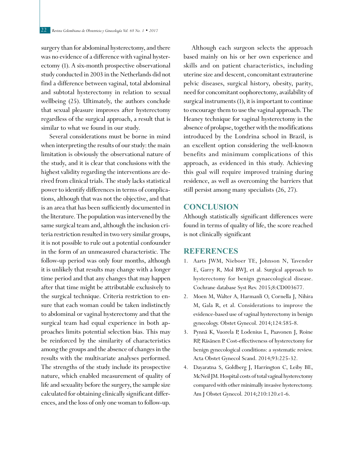surgery than for abdominal hysterectomy, and there was no evidence of a difference with vaginal hysterectomy (1). A six-month prospective observational study conducted in 2003 in the Netherlands did not find a difference between vaginal, total abdominal and subtotal hysterectomy in relation to sexual wellbeing (25). Ultimately, the authors conclude that sexual pleasure improves after hysterectomy regardless of the surgical approach, a result that is similar to what we found in our study.

Several considerations must be borne in mind when interpreting the results of our study: the main limitation is obviously the observational nature of the study, and it is clear that conclusions with the highest validity regarding the interventions are derived from clinical trials. The study lacks statistical power to identify differences in terms of complications, although that was not the objective, and that is an area that has been sufficiently documented in the literature. The population was intervened by the same surgical team and, although the inclusion criteria restriction resulted in two very similar groups, it is not possible to rule out a potential confounder in the form of an unmeasured characteristic. The follow-up period was only four months, although it is unlikely that results may change with a longer time period and that any changes that may happen after that time might be attributable exclusively to the surgical technique. Criteria restriction to ensure that each woman could be taken indistinctly to abdominal or vaginal hysterectomy and that the surgical team had equal experience in both approaches limits potential selection bias. This may be reinforced by the similarity of characteristics among the groups and the absence of changes in the results with the multivariate analyses performed. The strengths of the study include its prospective nature, which enabled measurement of quality of life and sexuality before the surgery, the sample size calculated for obtaining clinically significant differences, and the loss of only one woman to follow-up.

Although each surgeon selects the approach based mainly on his or her own experience and skills and on patient characteristics, including uterine size and descent, concomitant extrauterine pelvic diseases, surgical history, obesity, parity, need for concomitant oophorectomy, availability of surgical instruments (1), it is important to continue to encourage them to use the vaginal approach. The Heaney technique for vaginal hysterectomy in the absence of prolapse, together with the modifications introduced by the Londrina school in Brazil, is an excellent option considering the well-known benefits and minimum complications of this approach, as evidenced in this study. Achieving this goal will require improved training during residence, as well as overcoming the barriers that still persist among many specialists (26, 27).

#### **CONCLUSION**

Although statistically significant differences were found in terms of quality of life, the score reached is not clinically significant

#### **REFERENCES**

- 1. Aarts JWM, Nieboer TE, Johnson N, Tavender E, Garry R, Mol BWJ, et al. Surgical approach to hysterectomy for benign gynaecological disease. Cochrane database Syst Rev. 2015;8:CD003677.
- 2. Moen M, Walter A, Harmanli O, Cornella J, Nihira M, Gala R, et al. Considerations to improve the evidence-based use of vaginal hysterectomy in benign gynecology. Obstet Gynecol. 2014;124:585-8.
- 3. Pynnä K, Vuorela P, Lodenius L, Paavonen J, Roine RP, Räsänen P. Cost-effectiveness of hysterectomy for benign gynecological conditions: a systematic review. Acta Obstet Gynecol Scand. 2014;93:225-32.
- 4. Dayaratna S, Goldberg J, Harrington C, Leiby BE, McNeil JM. Hospital costs of total vaginal hysterectomy compared with other minimally invasive hysterectomy. Am J Obstet Gynecol. 2014;210:120.e1-6.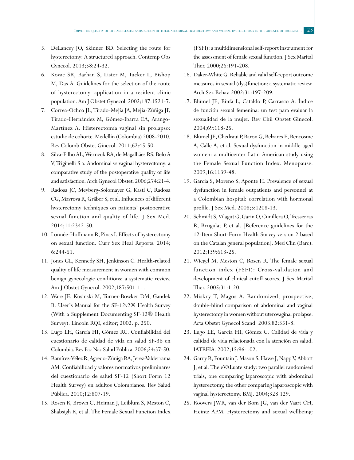- 5. DeLancey JO, Skinner BD. Selecting the route for hysterectomy: A structured approach. Contemp Obs Gynecol. 2013;58:24-32.
- 6. Kovac SR, Barhan S, Lister M, Tucker L, Bishop M, Das A. Guidelines for the selection of the route of hysterectomy: application in a resident clinic population. Am J Obstet Gynecol. 2002;187:1521-7.
- 7. Correa-Ochoa JL, Tirado-Mejía JA, Mejía-Zúñiga JF, Tirado-Hernández M, Gómez-Ibarra EA, Arango-Martínez A. Histerectomía vaginal sin prolapso: estudio de cohorte. Medellín (Colombia) 2008-2010. Rev Colomb Obstet Ginecol. 2011;62:45-50.
- 8. Silva-Filho AL, Werneck RA, de Magalhães RS, Belo A V, Triginelli S a. Abdominal vs vaginal hysterectomy: a comparative study of the postoperative quality of life and satisfaction. Arch Gynecol Obstet. 2006;274:21-4.
- 9. Radosa JC, Meyberg-Solomayer G, Kastl C, Radosa CG, Mavrova R, Gräber S, et al. Influences of different hysterectomy techniques on patients' postoperative sexual function and quality of life. J Sex Med. 2014;11:2342-50.
- 10. Lonnée-Hoffmann R, Pinas I. Effects of hysterectomy on sexual function. Curr Sex Heal Reports. 2014; 6:244-51.
- 11. Jones GL, Kennedy SH, Jenkinson C. Health-related quality of life measurement in women with common benign gynecologic conditions: a systematic review. Am J Obstet Gynecol. 2002;187:501-11.
- 12. Ware JE, Kosinski M, Turner-Bowker DM, Gandek B. User's Manual for the SF-12v2® Health Survey (With a Supplement Documenting SF-12® Health Survey). Lincoln RQI, editor; 2002. p. 250.
- 13. Lugo LH, García HI, Gómez RC. Confiabilidad del cuestionario de calidad de vida en salud SF-36 en Colombia. Rev Fac Nac Salud Pública. 2006;24:37-50.
- 14. Ramírez-Vélez R, Agredo-Zúñiga RA, Jerez-Valderrama AM. Confiabilidad y valores normativos preliminares del cuestionario de salud SF-12 (Short Form 12 Health Survey) en adultos Colombianos. Rev Salud Pública. 2010;12:807-19.
- 15. Rosen R, Brown C, Heiman J, Leiblum S, Meston C, Shabsigh R, et al. The Female Sexual Function Index

(FSFI): a multidimensional self-report instrument for the assessment of female sexual function. J Sex Marital Ther. 2000;26:191-208.

- 16. Daker-White G. Reliable and valid self-report outcome measures in sexual (dys)function: a systematic review. Arch Sex Behav. 2002;31:197-209.
- 17. Blümel JE, Binfa L, Cataldo P, Carrasco A. Índice de función sexual femenina: un test para evaluar la sexualidad de la mujer. Rev Chil Obstet Ginecol. 2004;69:118-25.
- 18. Blümel JE, Chedraui P, Baron G, Belzares E, Bencosme A, Calle A, et al. Sexual dysfunction in middle-aged women: a multicenter Latin American study using the Female Sexual Function Index. Menopause. 2009;16:1139-48.
- 19. Garcia S, Moreno S, Aponte H. Prevalence of sexual dysfunction in female outpatients and personnel at a Colombian hospital: correlation with hormonal profile. J Sex Med. 2008;5:1208-13.
- 20. Schmidt S, Vilagut G, Garin O, Cunillera O, Tresserras R, Brugulat P, et al. [Reference guidelines for the 12-Item Short-Form Health Survey version 2 based on the Catalan general population]. Med Clin (Barc). 2012;139:613-25.
- 21. Wiegel M, Meston C, Rosen R. The female sexual function index (FSFI): Cross-validation and development of clinical cutoff scores. J Sex Marital Ther. 2005;31:1-20.
- 22. Miskry T, Magos A. Randomized, prospective, double-blind comparison of abdominal and vaginal hysterectomy in women without uterovaginal prolapse. Acta Obstet Gynecol Scand. 2003;82:351-8.
- 23. Lugo LE, García HI, Gómez C. Calidad de vida y calidad de vida relacionada con la atención en salud. IATREIA. 2002;15:96-102.
- 24. Garry R, Fountain J, Mason S, Hawe J, Napp V, Abbott J, et al. The eVALuate study: two parallel randomised trials, one comparing laparoscopic with abdominal hysterectomy, the other comparing laparoscopic with vaginal hysterectomy. BMJ. 2004;328:129.
- 25. Roovers JWR, van der Bom JG, van der Vaart CH, Heintz APM. Hysterectomy and sexual wellbeing: